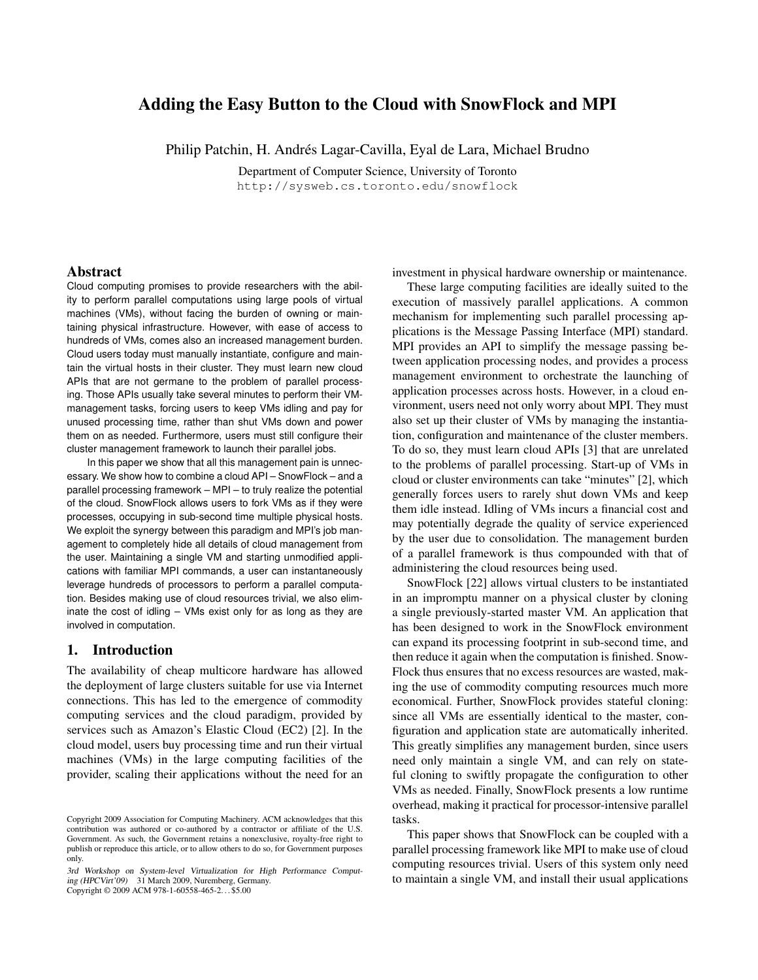# Adding the Easy Button to the Cloud with SnowFlock and MPI

Philip Patchin, H. Andrés Lagar-Cavilla, Eyal de Lara, Michael Brudno

Department of Computer Science, University of Toronto <http://sysweb.cs.toronto.edu/snowflock>

#### Abstract

Cloud computing promises to provide researchers with the ability to perform parallel computations using large pools of virtual machines (VMs), without facing the burden of owning or maintaining physical infrastructure. However, with ease of access to hundreds of VMs, comes also an increased management burden. Cloud users today must manually instantiate, configure and maintain the virtual hosts in their cluster. They must learn new cloud APIs that are not germane to the problem of parallel processing. Those APIs usually take several minutes to perform their VMmanagement tasks, forcing users to keep VMs idling and pay for unused processing time, rather than shut VMs down and power them on as needed. Furthermore, users must still configure their cluster management framework to launch their parallel jobs.

In this paper we show that all this management pain is unnecessary. We show how to combine a cloud API – SnowFlock – and a parallel processing framework – MPI – to truly realize the potential of the cloud. SnowFlock allows users to fork VMs as if they were processes, occupying in sub-second time multiple physical hosts. We exploit the synergy between this paradigm and MPI's job management to completely hide all details of cloud management from the user. Maintaining a single VM and starting unmodified applications with familiar MPI commands, a user can instantaneously leverage hundreds of processors to perform a parallel computation. Besides making use of cloud resources trivial, we also eliminate the cost of idling – VMs exist only for as long as they are involved in computation.

## 1. Introduction

The availability of cheap multicore hardware has allowed the deployment of large clusters suitable for use via Internet connections. This has led to the emergence of commodity computing services and the cloud paradigm, provided by services such as Amazon's Elastic Cloud (EC2) [\[2\]](#page-7-0). In the cloud model, users buy processing time and run their virtual machines (VMs) in the large computing facilities of the provider, scaling their applications without the need for an

investment in physical hardware ownership or maintenance.

These large computing facilities are ideally suited to the execution of massively parallel applications. A common mechanism for implementing such parallel processing applications is the Message Passing Interface (MPI) standard. MPI provides an API to simplify the message passing between application processing nodes, and provides a process management environment to orchestrate the launching of application processes across hosts. However, in a cloud environment, users need not only worry about MPI. They must also set up their cluster of VMs by managing the instantiation, configuration and maintenance of the cluster members. To do so, they must learn cloud APIs [\[3\]](#page-7-1) that are unrelated to the problems of parallel processing. Start-up of VMs in cloud or cluster environments can take "minutes" [\[2\]](#page-7-0), which generally forces users to rarely shut down VMs and keep them idle instead. Idling of VMs incurs a financial cost and may potentially degrade the quality of service experienced by the user due to consolidation. The management burden of a parallel framework is thus compounded with that of administering the cloud resources being used.

SnowFlock [\[22\]](#page-7-2) allows virtual clusters to be instantiated in an impromptu manner on a physical cluster by cloning a single previously-started master VM. An application that has been designed to work in the SnowFlock environment can expand its processing footprint in sub-second time, and then reduce it again when the computation is finished. Snow-Flock thus ensures that no excess resources are wasted, making the use of commodity computing resources much more economical. Further, SnowFlock provides stateful cloning: since all VMs are essentially identical to the master, configuration and application state are automatically inherited. This greatly simplifies any management burden, since users need only maintain a single VM, and can rely on stateful cloning to swiftly propagate the configuration to other VMs as needed. Finally, SnowFlock presents a low runtime overhead, making it practical for processor-intensive parallel tasks.

This paper shows that SnowFlock can be coupled with a parallel processing framework like MPI to make use of cloud computing resources trivial. Users of this system only need to maintain a single VM, and install their usual applications

Copyright 2009 Association for Computing Machinery. ACM acknowledges that this contribution was authored or co-authored by a contractor or affiliate of the U.S. Government. As such, the Government retains a nonexclusive, royalty-free right to publish or reproduce this article, or to allow others to do so, for Government purposes only.

<sup>3</sup>rd Workshop on System-level Virtualization for High Performance Computing (HPCVirt'09) 31 March 2009, Nuremberg, Germany. Copyright © 2009 ACM 978-1-60558-465-2. . . \$5.00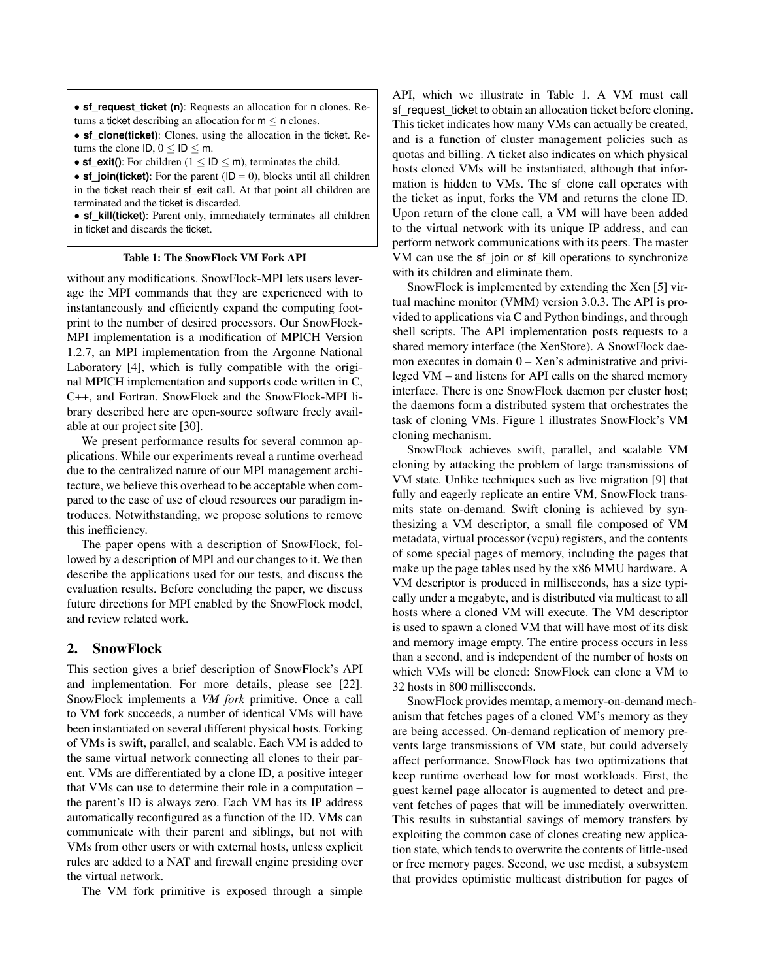• **sf\_request\_ticket (n)**: Requests an allocation for n clones. Returns a ticket describing an allocation for  $m < n$  clones.

• **sf\_clone(ticket)**: Clones, using the allocation in the ticket. Returns the clone ID,  $0 \leq$  ID  $\leq$  m.

• **sf\_exit()**: For children ( $1 \leq \mathsf{ID} \leq \mathsf{m}$ ), terminates the child.

• **sf** join(ticket): For the parent ( $ID = 0$ ), blocks until all children in the ticket reach their sf exit call. At that point all children are terminated and the ticket is discarded.

• **sf** kill(ticket): Parent only, immediately terminates all children in ticket and discards the ticket.

#### <span id="page-1-0"></span>Table 1: The SnowFlock VM Fork API

without any modifications. SnowFlock-MPI lets users leverage the MPI commands that they are experienced with to instantaneously and efficiently expand the computing footprint to the number of desired processors. Our SnowFlock-MPI implementation is a modification of MPICH Version 1.2.7, an MPI implementation from the Argonne National Laboratory [\[4\]](#page-7-3), which is fully compatible with the original MPICH implementation and supports code written in C, C++, and Fortran. SnowFlock and the SnowFlock-MPI library described here are open-source software freely available at our project site [\[30\]](#page-7-4).

We present performance results for several common applications. While our experiments reveal a runtime overhead due to the centralized nature of our MPI management architecture, we believe this overhead to be acceptable when compared to the ease of use of cloud resources our paradigm introduces. Notwithstanding, we propose solutions to remove this inefficiency.

The paper opens with a description of SnowFlock, followed by a description of MPI and our changes to it. We then describe the applications used for our tests, and discuss the evaluation results. Before concluding the paper, we discuss future directions for MPI enabled by the SnowFlock model, and review related work.

## 2. SnowFlock

This section gives a brief description of SnowFlock's API and implementation. For more details, please see [\[22\]](#page-7-2). SnowFlock implements a *VM fork* primitive. Once a call to VM fork succeeds, a number of identical VMs will have been instantiated on several different physical hosts. Forking of VMs is swift, parallel, and scalable. Each VM is added to the same virtual network connecting all clones to their parent. VMs are differentiated by a clone ID, a positive integer that VMs can use to determine their role in a computation – the parent's ID is always zero. Each VM has its IP address automatically reconfigured as a function of the ID. VMs can communicate with their parent and siblings, but not with VMs from other users or with external hosts, unless explicit rules are added to a NAT and firewall engine presiding over the virtual network.

The VM fork primitive is exposed through a simple

API, which we illustrate in Table [1.](#page-1-0) A VM must call sf request ticket to obtain an allocation ticket before cloning. This ticket indicates how many VMs can actually be created, and is a function of cluster management policies such as quotas and billing. A ticket also indicates on which physical hosts cloned VMs will be instantiated, although that information is hidden to VMs. The sf clone call operates with the ticket as input, forks the VM and returns the clone ID. Upon return of the clone call, a VM will have been added to the virtual network with its unique IP address, and can perform network communications with its peers. The master VM can use the sf join or sf kill operations to synchronize with its children and eliminate them.

SnowFlock is implemented by extending the Xen [\[5\]](#page-7-5) virtual machine monitor (VMM) version 3.0.3. The API is provided to applications via C and Python bindings, and through shell scripts. The API implementation posts requests to a shared memory interface (the XenStore). A SnowFlock daemon executes in domain 0 – Xen's administrative and privileged VM – and listens for API calls on the shared memory interface. There is one SnowFlock daemon per cluster host; the daemons form a distributed system that orchestrates the task of cloning VMs. Figure [1](#page-2-0) illustrates SnowFlock's VM cloning mechanism.

SnowFlock achieves swift, parallel, and scalable VM cloning by attacking the problem of large transmissions of VM state. Unlike techniques such as live migration [\[9\]](#page-7-6) that fully and eagerly replicate an entire VM, SnowFlock transmits state on-demand. Swift cloning is achieved by synthesizing a VM descriptor, a small file composed of VM metadata, virtual processor (vcpu) registers, and the contents of some special pages of memory, including the pages that make up the page tables used by the x86 MMU hardware. A VM descriptor is produced in milliseconds, has a size typically under a megabyte, and is distributed via multicast to all hosts where a cloned VM will execute. The VM descriptor is used to spawn a cloned VM that will have most of its disk and memory image empty. The entire process occurs in less than a second, and is independent of the number of hosts on which VMs will be cloned: SnowFlock can clone a VM to 32 hosts in 800 milliseconds.

SnowFlock provides memtap, a memory-on-demand mechanism that fetches pages of a cloned VM's memory as they are being accessed. On-demand replication of memory prevents large transmissions of VM state, but could adversely affect performance. SnowFlock has two optimizations that keep runtime overhead low for most workloads. First, the guest kernel page allocator is augmented to detect and prevent fetches of pages that will be immediately overwritten. This results in substantial savings of memory transfers by exploiting the common case of clones creating new application state, which tends to overwrite the contents of little-used or free memory pages. Second, we use mcdist, a subsystem that provides optimistic multicast distribution for pages of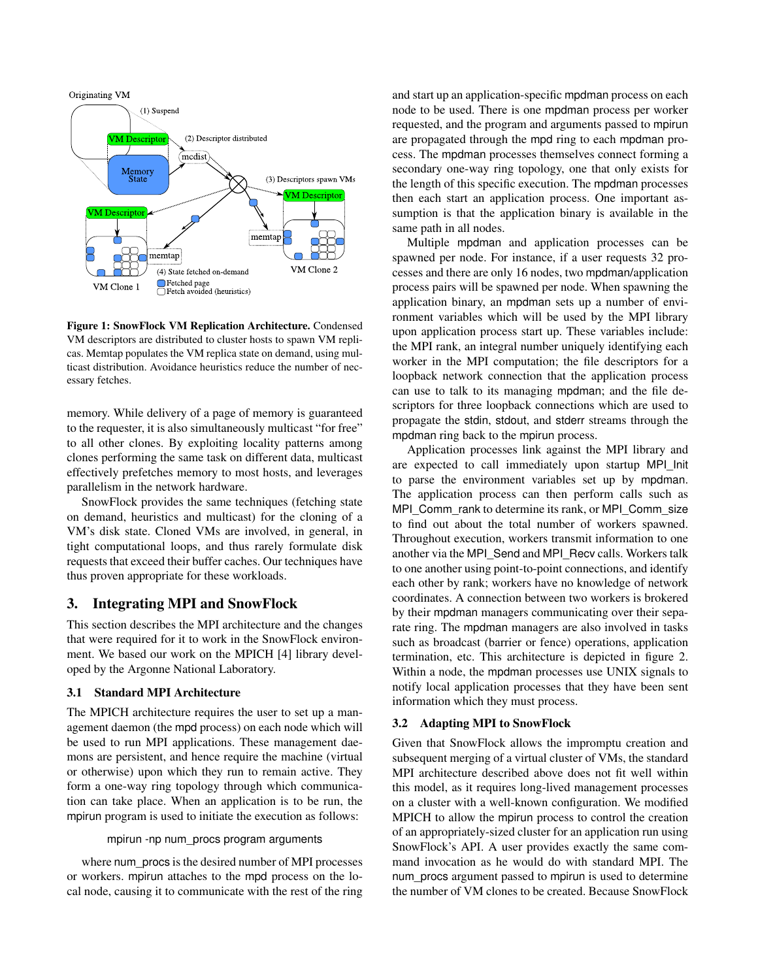

<span id="page-2-0"></span>Figure 1: SnowFlock VM Replication Architecture. Condensed VM descriptors are distributed to cluster hosts to spawn VM replicas. Memtap populates the VM replica state on demand, using multicast distribution. Avoidance heuristics reduce the number of necessary fetches.

memory. While delivery of a page of memory is guaranteed to the requester, it is also simultaneously multicast "for free" to all other clones. By exploiting locality patterns among clones performing the same task on different data, multicast effectively prefetches memory to most hosts, and leverages parallelism in the network hardware.

SnowFlock provides the same techniques (fetching state on demand, heuristics and multicast) for the cloning of a VM's disk state. Cloned VMs are involved, in general, in tight computational loops, and thus rarely formulate disk requests that exceed their buffer caches. Our techniques have thus proven appropriate for these workloads.

#### 3. Integrating MPI and SnowFlock

This section describes the MPI architecture and the changes that were required for it to work in the SnowFlock environment. We based our work on the MPICH [\[4\]](#page-7-3) library developed by the Argonne National Laboratory.

## 3.1 Standard MPI Architecture

The MPICH architecture requires the user to set up a management daemon (the mpd process) on each node which will be used to run MPI applications. These management daemons are persistent, and hence require the machine (virtual or otherwise) upon which they run to remain active. They form a one-way ring topology through which communication can take place. When an application is to be run, the mpirun program is used to initiate the execution as follows:

mpirun -np num\_procs program arguments

where num procs is the desired number of MPI processes or workers. mpirun attaches to the mpd process on the local node, causing it to communicate with the rest of the ring and start up an application-specific mpdman process on each node to be used. There is one mpdman process per worker requested, and the program and arguments passed to mpirun are propagated through the mpd ring to each mpdman process. The mpdman processes themselves connect forming a secondary one-way ring topology, one that only exists for the length of this specific execution. The mpdman processes then each start an application process. One important assumption is that the application binary is available in the same path in all nodes.

Multiple mpdman and application processes can be spawned per node. For instance, if a user requests 32 processes and there are only 16 nodes, two mpdman/application process pairs will be spawned per node. When spawning the application binary, an mpdman sets up a number of environment variables which will be used by the MPI library upon application process start up. These variables include: the MPI rank, an integral number uniquely identifying each worker in the MPI computation; the file descriptors for a loopback network connection that the application process can use to talk to its managing mpdman; and the file descriptors for three loopback connections which are used to propagate the stdin, stdout, and stderr streams through the mpdman ring back to the mpirun process.

Application processes link against the MPI library and are expected to call immediately upon startup MPI\_Init to parse the environment variables set up by mpdman. The application process can then perform calls such as MPI\_Comm\_rank to determine its rank, or MPI\_Comm\_size to find out about the total number of workers spawned. Throughout execution, workers transmit information to one another via the MPI\_Send and MPI\_Recv calls. Workers talk to one another using point-to-point connections, and identify each other by rank; workers have no knowledge of network coordinates. A connection between two workers is brokered by their mpdman managers communicating over their separate ring. The mpdman managers are also involved in tasks such as broadcast (barrier or fence) operations, application termination, etc. This architecture is depicted in figure [2.](#page-3-0) Within a node, the mpdman processes use UNIX signals to notify local application processes that they have been sent information which they must process.

#### 3.2 Adapting MPI to SnowFlock

Given that SnowFlock allows the impromptu creation and subsequent merging of a virtual cluster of VMs, the standard MPI architecture described above does not fit well within this model, as it requires long-lived management processes on a cluster with a well-known configuration. We modified MPICH to allow the mpirun process to control the creation of an appropriately-sized cluster for an application run using SnowFlock's API. A user provides exactly the same command invocation as he would do with standard MPI. The num\_procs argument passed to mpirun is used to determine the number of VM clones to be created. Because SnowFlock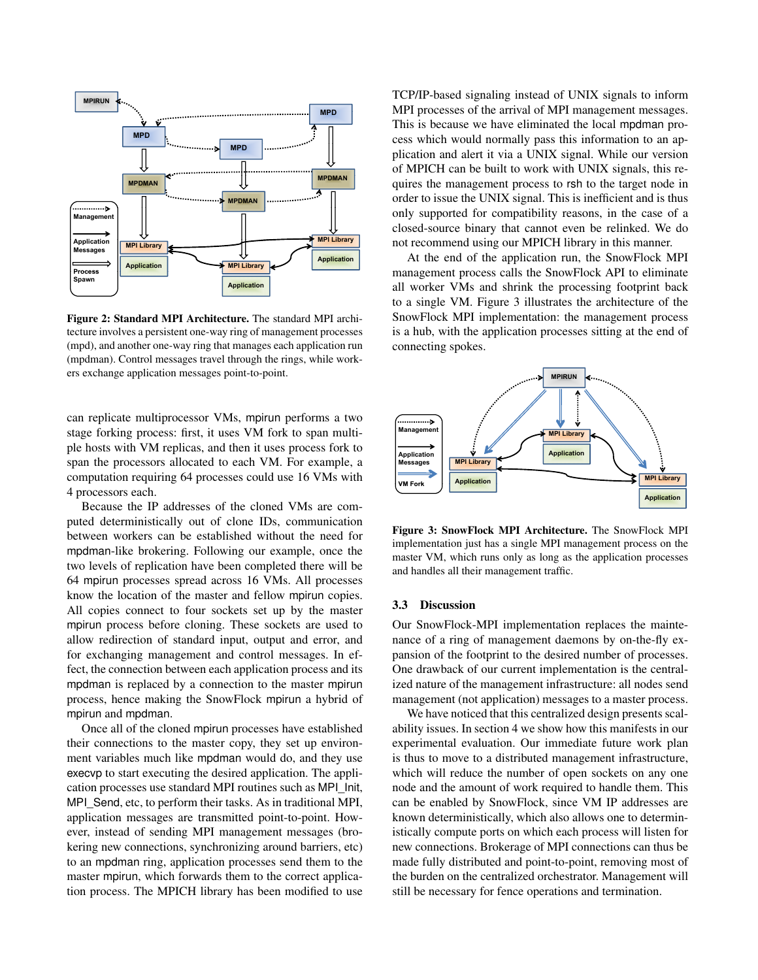

<span id="page-3-0"></span>Figure 2: Standard MPI Architecture. The standard MPI architecture involves a persistent one-way ring of management processes (mpd), and another one-way ring that manages each application run (mpdman). Control messages travel through the rings, while workers exchange application messages point-to-point.

can replicate multiprocessor VMs, mpirun performs a two stage forking process: first, it uses VM fork to span multiple hosts with VM replicas, and then it uses process fork to span the processors allocated to each VM. For example, a computation requiring 64 processes could use 16 VMs with 4 processors each.

Because the IP addresses of the cloned VMs are computed deterministically out of clone IDs, communication between workers can be established without the need for mpdman-like brokering. Following our example, once the two levels of replication have been completed there will be 64 mpirun processes spread across 16 VMs. All processes know the location of the master and fellow mpirun copies. All copies connect to four sockets set up by the master mpirun process before cloning. These sockets are used to allow redirection of standard input, output and error, and for exchanging management and control messages. In effect, the connection between each application process and its mpdman is replaced by a connection to the master mpirun process, hence making the SnowFlock mpirun a hybrid of mpirun and mpdman.

Once all of the cloned mpirun processes have established their connections to the master copy, they set up environment variables much like mpdman would do, and they use execvp to start executing the desired application. The application processes use standard MPI routines such as MPI\_Init, MPI\_Send, etc, to perform their tasks. As in traditional MPI, application messages are transmitted point-to-point. However, instead of sending MPI management messages (brokering new connections, synchronizing around barriers, etc) to an mpdman ring, application processes send them to the master mpirun, which forwards them to the correct application process. The MPICH library has been modified to use

TCP/IP-based signaling instead of UNIX signals to inform MPI processes of the arrival of MPI management messages. This is because we have eliminated the local mpdman process which would normally pass this information to an application and alert it via a UNIX signal. While our version of MPICH can be built to work with UNIX signals, this requires the management process to rsh to the target node in order to issue the UNIX signal. This is inefficient and is thus only supported for compatibility reasons, in the case of a closed-source binary that cannot even be relinked. We do not recommend using our MPICH library in this manner.

At the end of the application run, the SnowFlock MPI management process calls the SnowFlock API to eliminate all worker VMs and shrink the processing footprint back to a single VM. Figure [3](#page-3-1) illustrates the architecture of the SnowFlock MPI implementation: the management process is a hub, with the application processes sitting at the end of connecting spokes.



<span id="page-3-1"></span>Figure 3: SnowFlock MPI Architecture. The SnowFlock MPI implementation just has a single MPI management process on the master VM, which runs only as long as the application processes and handles all their management traffic.

#### 3.3 Discussion

Our SnowFlock-MPI implementation replaces the maintenance of a ring of management daemons by on-the-fly expansion of the footprint to the desired number of processes. One drawback of our current implementation is the centralized nature of the management infrastructure: all nodes send management (not application) messages to a master process.

We have noticed that this centralized design presents scalability issues. In section [4](#page-4-0) we show how this manifests in our experimental evaluation. Our immediate future work plan is thus to move to a distributed management infrastructure, which will reduce the number of open sockets on any one node and the amount of work required to handle them. This can be enabled by SnowFlock, since VM IP addresses are known deterministically, which also allows one to deterministically compute ports on which each process will listen for new connections. Brokerage of MPI connections can thus be made fully distributed and point-to-point, removing most of the burden on the centralized orchestrator. Management will still be necessary for fence operations and termination.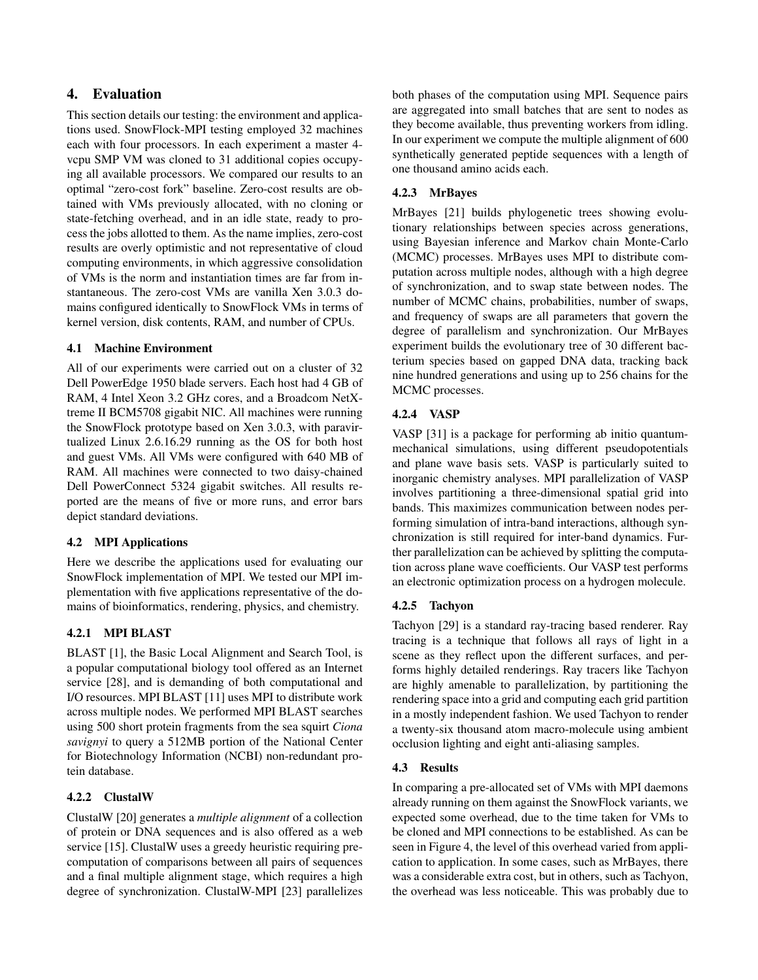# <span id="page-4-0"></span>4. Evaluation

This section details our testing: the environment and applications used. SnowFlock-MPI testing employed 32 machines each with four processors. In each experiment a master 4 vcpu SMP VM was cloned to 31 additional copies occupying all available processors. We compared our results to an optimal "zero-cost fork" baseline. Zero-cost results are obtained with VMs previously allocated, with no cloning or state-fetching overhead, and in an idle state, ready to process the jobs allotted to them. As the name implies, zero-cost results are overly optimistic and not representative of cloud computing environments, in which aggressive consolidation of VMs is the norm and instantiation times are far from instantaneous. The zero-cost VMs are vanilla Xen 3.0.3 domains configured identically to SnowFlock VMs in terms of kernel version, disk contents, RAM, and number of CPUs.

## 4.1 Machine Environment

All of our experiments were carried out on a cluster of 32 Dell PowerEdge 1950 blade servers. Each host had 4 GB of RAM, 4 Intel Xeon 3.2 GHz cores, and a Broadcom NetXtreme II BCM5708 gigabit NIC. All machines were running the SnowFlock prototype based on Xen 3.0.3, with paravirtualized Linux 2.6.16.29 running as the OS for both host and guest VMs. All VMs were configured with 640 MB of RAM. All machines were connected to two daisy-chained Dell PowerConnect 5324 gigabit switches. All results reported are the means of five or more runs, and error bars depict standard deviations.

## 4.2 MPI Applications

Here we describe the applications used for evaluating our SnowFlock implementation of MPI. We tested our MPI implementation with five applications representative of the domains of bioinformatics, rendering, physics, and chemistry.

## 4.2.1 MPI BLAST

BLAST [\[1\]](#page-7-7), the Basic Local Alignment and Search Tool, is a popular computational biology tool offered as an Internet service [\[28\]](#page-7-8), and is demanding of both computational and I/O resources. MPI BLAST [\[11\]](#page-7-9) uses MPI to distribute work across multiple nodes. We performed MPI BLAST searches using 500 short protein fragments from the sea squirt *Ciona savignyi* to query a 512MB portion of the National Center for Biotechnology Information (NCBI) non-redundant protein database.

## 4.2.2 ClustalW

ClustalW [\[20\]](#page-7-10) generates a *multiple alignment* of a collection of protein or DNA sequences and is also offered as a web service [\[15\]](#page-7-11). ClustalW uses a greedy heuristic requiring precomputation of comparisons between all pairs of sequences and a final multiple alignment stage, which requires a high degree of synchronization. ClustalW-MPI [\[23\]](#page-7-12) parallelizes

both phases of the computation using MPI. Sequence pairs are aggregated into small batches that are sent to nodes as they become available, thus preventing workers from idling. In our experiment we compute the multiple alignment of 600 synthetically generated peptide sequences with a length of one thousand amino acids each.

## 4.2.3 MrBayes

MrBayes [\[21\]](#page-7-13) builds phylogenetic trees showing evolutionary relationships between species across generations, using Bayesian inference and Markov chain Monte-Carlo (MCMC) processes. MrBayes uses MPI to distribute computation across multiple nodes, although with a high degree of synchronization, and to swap state between nodes. The number of MCMC chains, probabilities, number of swaps, and frequency of swaps are all parameters that govern the degree of parallelism and synchronization. Our MrBayes experiment builds the evolutionary tree of 30 different bacterium species based on gapped DNA data, tracking back nine hundred generations and using up to 256 chains for the MCMC processes.

## 4.2.4 VASP

VASP [\[31\]](#page-7-14) is a package for performing ab initio quantummechanical simulations, using different pseudopotentials and plane wave basis sets. VASP is particularly suited to inorganic chemistry analyses. MPI parallelization of VASP involves partitioning a three-dimensional spatial grid into bands. This maximizes communication between nodes performing simulation of intra-band interactions, although synchronization is still required for inter-band dynamics. Further parallelization can be achieved by splitting the computation across plane wave coefficients. Our VASP test performs an electronic optimization process on a hydrogen molecule.

## 4.2.5 Tachyon

Tachyon [\[29\]](#page-7-15) is a standard ray-tracing based renderer. Ray tracing is a technique that follows all rays of light in a scene as they reflect upon the different surfaces, and performs highly detailed renderings. Ray tracers like Tachyon are highly amenable to parallelization, by partitioning the rendering space into a grid and computing each grid partition in a mostly independent fashion. We used Tachyon to render a twenty-six thousand atom macro-molecule using ambient occlusion lighting and eight anti-aliasing samples.

## 4.3 Results

In comparing a pre-allocated set of VMs with MPI daemons already running on them against the SnowFlock variants, we expected some overhead, due to the time taken for VMs to be cloned and MPI connections to be established. As can be seen in Figure [4,](#page-5-0) the level of this overhead varied from application to application. In some cases, such as MrBayes, there was a considerable extra cost, but in others, such as Tachyon, the overhead was less noticeable. This was probably due to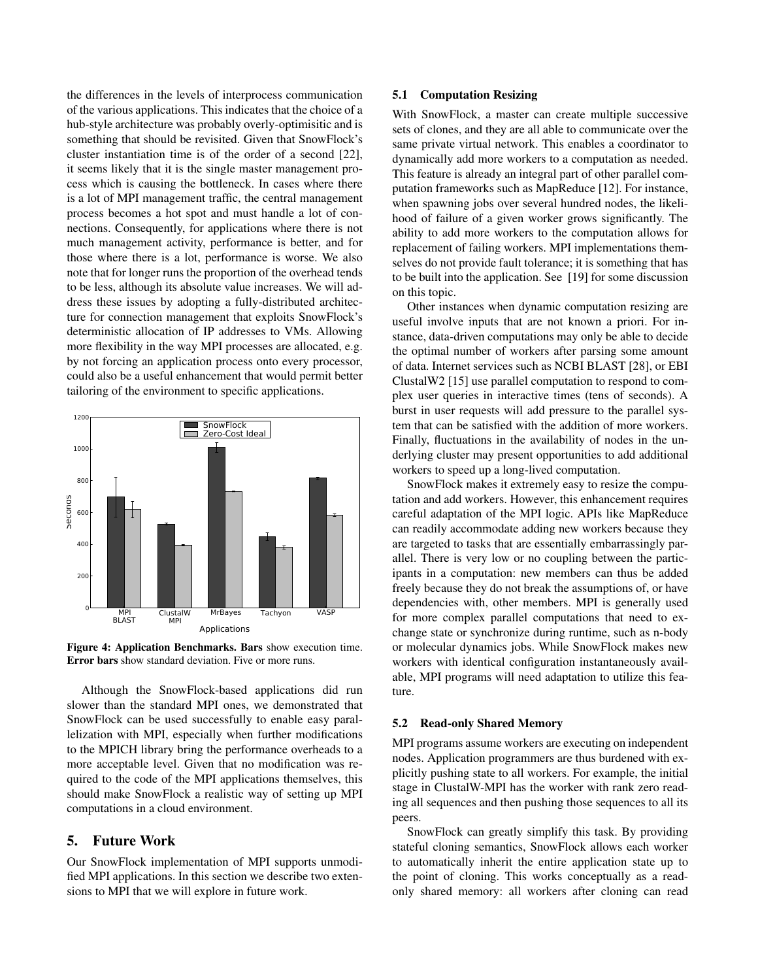the differences in the levels of interprocess communication of the various applications. This indicates that the choice of a hub-style architecture was probably overly-optimisitic and is something that should be revisited. Given that SnowFlock's cluster instantiation time is of the order of a second [\[22\]](#page-7-2), it seems likely that it is the single master management process which is causing the bottleneck. In cases where there is a lot of MPI management traffic, the central management process becomes a hot spot and must handle a lot of connections. Consequently, for applications where there is not much management activity, performance is better, and for those where there is a lot, performance is worse. We also note that for longer runs the proportion of the overhead tends to be less, although its absolute value increases. We will address these issues by adopting a fully-distributed architecture for connection management that exploits SnowFlock's deterministic allocation of IP addresses to VMs. Allowing more flexibility in the way MPI processes are allocated, e.g. by not forcing an application process onto every processor, could also be a useful enhancement that would permit better tailoring of the environment to specific applications.

![](_page_5_Figure_1.jpeg)

<span id="page-5-0"></span>Figure 4: Application Benchmarks. Bars show execution time. Error bars show standard deviation. Five or more runs.

Although the SnowFlock-based applications did run slower than the standard MPI ones, we demonstrated that SnowFlock can be used successfully to enable easy parallelization with MPI, especially when further modifications to the MPICH library bring the performance overheads to a more acceptable level. Given that no modification was required to the code of the MPI applications themselves, this should make SnowFlock a realistic way of setting up MPI computations in a cloud environment.

#### 5. Future Work

Our SnowFlock implementation of MPI supports unmodified MPI applications. In this section we describe two extensions to MPI that we will explore in future work.

#### 5.1 Computation Resizing

With SnowFlock, a master can create multiple successive sets of clones, and they are all able to communicate over the same private virtual network. This enables a coordinator to dynamically add more workers to a computation as needed. This feature is already an integral part of other parallel computation frameworks such as MapReduce [\[12\]](#page-7-16). For instance, when spawning jobs over several hundred nodes, the likelihood of failure of a given worker grows significantly. The ability to add more workers to the computation allows for replacement of failing workers. MPI implementations themselves do not provide fault tolerance; it is something that has to be built into the application. See [\[19\]](#page-7-17) for some discussion on this topic.

Other instances when dynamic computation resizing are useful involve inputs that are not known a priori. For instance, data-driven computations may only be able to decide the optimal number of workers after parsing some amount of data. Internet services such as NCBI BLAST [\[28\]](#page-7-8), or EBI ClustalW2 [\[15\]](#page-7-11) use parallel computation to respond to complex user queries in interactive times (tens of seconds). A burst in user requests will add pressure to the parallel system that can be satisfied with the addition of more workers. Finally, fluctuations in the availability of nodes in the underlying cluster may present opportunities to add additional workers to speed up a long-lived computation.

SnowFlock makes it extremely easy to resize the computation and add workers. However, this enhancement requires careful adaptation of the MPI logic. APIs like MapReduce can readily accommodate adding new workers because they are targeted to tasks that are essentially embarrassingly parallel. There is very low or no coupling between the participants in a computation: new members can thus be added freely because they do not break the assumptions of, or have dependencies with, other members. MPI is generally used for more complex parallel computations that need to exchange state or synchronize during runtime, such as n-body or molecular dynamics jobs. While SnowFlock makes new workers with identical configuration instantaneously available, MPI programs will need adaptation to utilize this feature.

#### 5.2 Read-only Shared Memory

MPI programs assume workers are executing on independent nodes. Application programmers are thus burdened with explicitly pushing state to all workers. For example, the initial stage in ClustalW-MPI has the worker with rank zero reading all sequences and then pushing those sequences to all its peers.

SnowFlock can greatly simplify this task. By providing stateful cloning semantics, SnowFlock allows each worker to automatically inherit the entire application state up to the point of cloning. This works conceptually as a readonly shared memory: all workers after cloning can read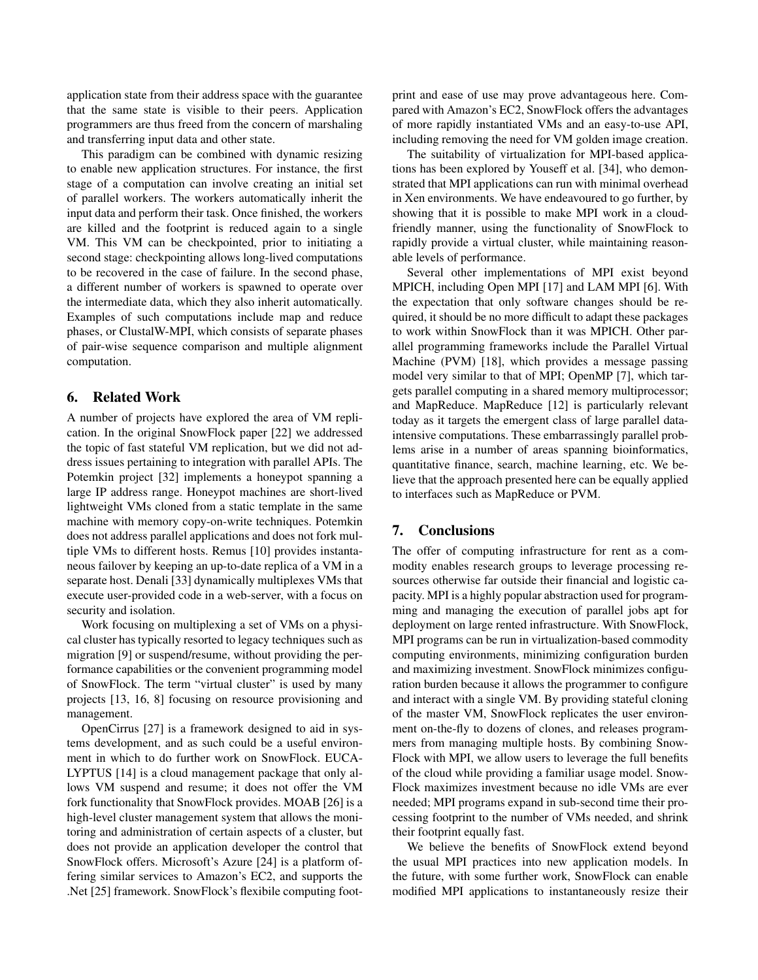application state from their address space with the guarantee that the same state is visible to their peers. Application programmers are thus freed from the concern of marshaling and transferring input data and other state.

This paradigm can be combined with dynamic resizing to enable new application structures. For instance, the first stage of a computation can involve creating an initial set of parallel workers. The workers automatically inherit the input data and perform their task. Once finished, the workers are killed and the footprint is reduced again to a single VM. This VM can be checkpointed, prior to initiating a second stage: checkpointing allows long-lived computations to be recovered in the case of failure. In the second phase, a different number of workers is spawned to operate over the intermediate data, which they also inherit automatically. Examples of such computations include map and reduce phases, or ClustalW-MPI, which consists of separate phases of pair-wise sequence comparison and multiple alignment computation.

## 6. Related Work

A number of projects have explored the area of VM replication. In the original SnowFlock paper [\[22\]](#page-7-2) we addressed the topic of fast stateful VM replication, but we did not address issues pertaining to integration with parallel APIs. The Potemkin project [\[32\]](#page-7-18) implements a honeypot spanning a large IP address range. Honeypot machines are short-lived lightweight VMs cloned from a static template in the same machine with memory copy-on-write techniques. Potemkin does not address parallel applications and does not fork multiple VMs to different hosts. Remus [\[10\]](#page-7-19) provides instantaneous failover by keeping an up-to-date replica of a VM in a separate host. Denali [\[33\]](#page-7-20) dynamically multiplexes VMs that execute user-provided code in a web-server, with a focus on security and isolation.

Work focusing on multiplexing a set of VMs on a physical cluster has typically resorted to legacy techniques such as migration [\[9\]](#page-7-6) or suspend/resume, without providing the performance capabilities or the convenient programming model of SnowFlock. The term "virtual cluster" is used by many projects [\[13,](#page-7-21) [16,](#page-7-22) [8\]](#page-7-23) focusing on resource provisioning and management.

OpenCirrus [\[27\]](#page-7-24) is a framework designed to aid in systems development, and as such could be a useful environment in which to do further work on SnowFlock. EUCA-LYPTUS [\[14\]](#page-7-25) is a cloud management package that only allows VM suspend and resume; it does not offer the VM fork functionality that SnowFlock provides. MOAB [\[26\]](#page-7-26) is a high-level cluster management system that allows the monitoring and administration of certain aspects of a cluster, but does not provide an application developer the control that SnowFlock offers. Microsoft's Azure [\[24\]](#page-7-27) is a platform offering similar services to Amazon's EC2, and supports the .Net [\[25\]](#page-7-28) framework. SnowFlock's flexibile computing footprint and ease of use may prove advantageous here. Compared with Amazon's EC2, SnowFlock offers the advantages of more rapidly instantiated VMs and an easy-to-use API, including removing the need for VM golden image creation.

The suitability of virtualization for MPI-based applications has been explored by Youseff et al. [\[34\]](#page-7-29), who demonstrated that MPI applications can run with minimal overhead in Xen environments. We have endeavoured to go further, by showing that it is possible to make MPI work in a cloudfriendly manner, using the functionality of SnowFlock to rapidly provide a virtual cluster, while maintaining reasonable levels of performance.

Several other implementations of MPI exist beyond MPICH, including Open MPI [\[17\]](#page-7-30) and LAM MPI [\[6\]](#page-7-31). With the expectation that only software changes should be required, it should be no more difficult to adapt these packages to work within SnowFlock than it was MPICH. Other parallel programming frameworks include the Parallel Virtual Machine (PVM) [\[18\]](#page-7-32), which provides a message passing model very similar to that of MPI; OpenMP [\[7\]](#page-7-33), which targets parallel computing in a shared memory multiprocessor; and MapReduce. MapReduce [\[12\]](#page-7-16) is particularly relevant today as it targets the emergent class of large parallel dataintensive computations. These embarrassingly parallel problems arise in a number of areas spanning bioinformatics, quantitative finance, search, machine learning, etc. We believe that the approach presented here can be equally applied to interfaces such as MapReduce or PVM.

#### 7. Conclusions

The offer of computing infrastructure for rent as a commodity enables research groups to leverage processing resources otherwise far outside their financial and logistic capacity. MPI is a highly popular abstraction used for programming and managing the execution of parallel jobs apt for deployment on large rented infrastructure. With SnowFlock, MPI programs can be run in virtualization-based commodity computing environments, minimizing configuration burden and maximizing investment. SnowFlock minimizes configuration burden because it allows the programmer to configure and interact with a single VM. By providing stateful cloning of the master VM, SnowFlock replicates the user environment on-the-fly to dozens of clones, and releases programmers from managing multiple hosts. By combining Snow-Flock with MPI, we allow users to leverage the full benefits of the cloud while providing a familiar usage model. Snow-Flock maximizes investment because no idle VMs are ever needed; MPI programs expand in sub-second time their processing footprint to the number of VMs needed, and shrink their footprint equally fast.

We believe the benefits of SnowFlock extend beyond the usual MPI practices into new application models. In the future, with some further work, SnowFlock can enable modified MPI applications to instantaneously resize their